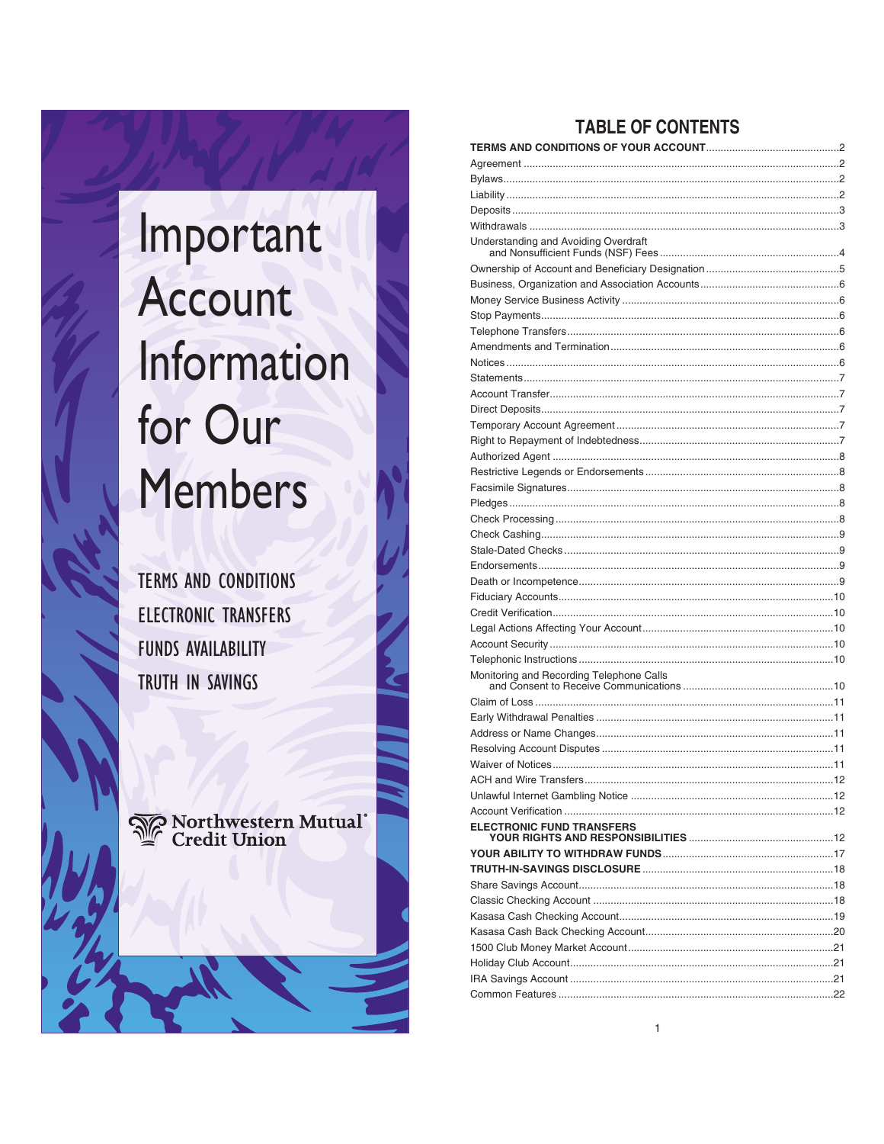

**TERMS AND CONDITIONS ELECTRONIC TRANSFERS FUNDS AVAILABILITY** TRUTH IN SAVINGS

S Northwestern Mutual<br>^ Credit Union

# **TABLE OF CONTENTS**

| Understanding and Avoiding Overdraft     |  |
|------------------------------------------|--|
|                                          |  |
|                                          |  |
|                                          |  |
|                                          |  |
|                                          |  |
|                                          |  |
|                                          |  |
|                                          |  |
|                                          |  |
|                                          |  |
|                                          |  |
|                                          |  |
|                                          |  |
|                                          |  |
|                                          |  |
|                                          |  |
|                                          |  |
|                                          |  |
|                                          |  |
|                                          |  |
|                                          |  |
|                                          |  |
|                                          |  |
|                                          |  |
|                                          |  |
|                                          |  |
| Monitoring and Recording Telephone Calls |  |
|                                          |  |
|                                          |  |
|                                          |  |
|                                          |  |
|                                          |  |
|                                          |  |
|                                          |  |
|                                          |  |
| <b>ELECTRONIC FUND TRANSFERS</b>         |  |
|                                          |  |
|                                          |  |
|                                          |  |
|                                          |  |
|                                          |  |
|                                          |  |
|                                          |  |
|                                          |  |
|                                          |  |
|                                          |  |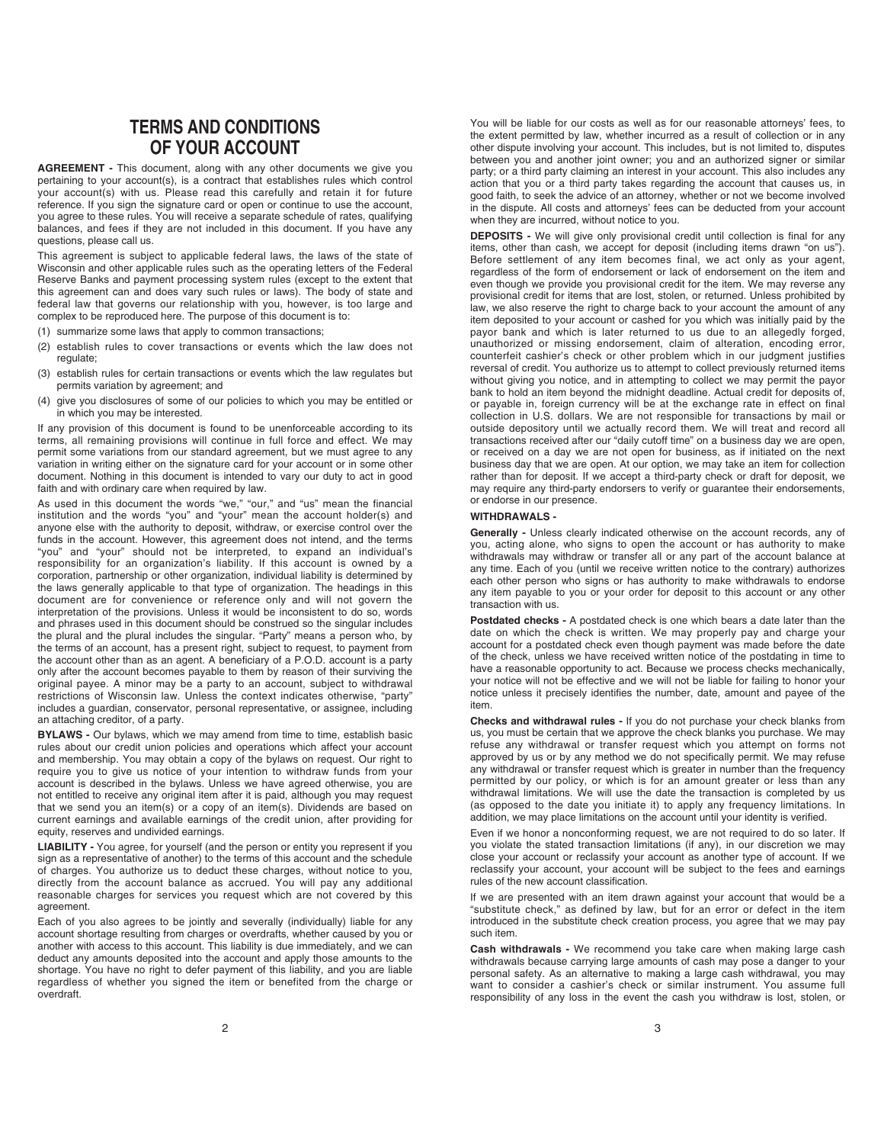# **TERMS AND CONDITIONS OF YOUR ACCOUNT**

**AGREEMENT -** This document, along with any other documents we give you pertaining to your account(s), is a contract that establishes rules which control your account(s) with us. Please read this carefully and retain it for future reference. If you sign the signature card or open or continue to use the account, you agree to these rules. You will receive a separate schedule of rates, qualifying balances, and fees if they are not included in this document. If you have any questions, please call us.

This agreement is subject to applicable federal laws, the laws of the state of Wisconsin and other applicable rules such as the operating letters of the Federal Reserve Banks and payment processing system rules (except to the extent that this agreement can and does vary such rules or laws). The body of state and federal law that governs our relationship with you, however, is too large and complex to be reproduced here. The purpose of this document is to:

- (1) summarize some laws that apply to common transactions;
- (2) establish rules to cover transactions or events which the law does not regulate;
- (3) establish rules for certain transactions or events which the law regulates but permits variation by agreement; and
- (4) give you disclosures of some of our policies to which you may be entitled or in which you may be interested.

If any provision of this document is found to be unenforceable according to its terms, all remaining provisions will continue in full force and effect. We may permit some variations from our standard agreement, but we must agree to any variation in writing either on the signature card for your account or in some other document. Nothing in this document is intended to vary our duty to act in good faith and with ordinary care when required by law.

As used in this document the words "we," "our," and "us" mean the financial institution and the words "you" and "your" mean the account holder(s) and anyone else with the authority to deposit, withdraw, or exercise control over the funds in the account. However, this agreement does not intend, and the terms "you" and "your" should not be interpreted, to expand an individual's responsibility for an organization's liability. If this account is owned by a corporation, partnership or other organization, individual liability is determined by the laws generally applicable to that type of organization. The headings in this document are for convenience or reference only and will not govern the interpretation of the provisions. Unless it would be inconsistent to do so, words and phrases used in this document should be construed so the singular includes the plural and the plural includes the singular. "Party" means a person who, by the terms of an account, has a present right, subject to request, to payment from the account other than as an agent. A beneficiary of a P.O.D. account is a party only after the account becomes payable to them by reason of their surviving the original payee. A minor may be a party to an account, subject to withdrawal restrictions of Wisconsin law. Unless the context indicates otherwise, "party" includes a guardian, conservator, personal representative, or assignee, including an attaching creditor, of a party.

**BYLAWS -** Our bylaws, which we may amend from time to time, establish basic rules about our credit union policies and operations which affect your account and membership. You may obtain a copy of the bylaws on request. Our right to require you to give us notice of your intention to withdraw funds from your account is described in the bylaws. Unless we have agreed otherwise, you are not entitled to receive any original item after it is paid, although you may request that we send you an item(s) or a copy of an item(s). Dividends are based on current earnings and available earnings of the credit union, after providing for equity, reserves and undivided earnings.

**LIABILITY -** You agree, for yourself (and the person or entity you represent if you sign as a representative of another) to the terms of this account and the schedule of charges. You authorize us to deduct these charges, without notice to you, directly from the account balance as accrued. You will pay any additional reasonable charges for services you request which are not covered by this agreement.

Each of you also agrees to be jointly and severally (individually) liable for any account shortage resulting from charges or overdrafts, whether caused by you or another with access to this account. This liability is due immediately, and we can deduct any amounts deposited into the account and apply those amounts to the shortage. You have no right to defer payment of this liability, and you are liable regardless of whether you signed the item or benefited from the charge or overdraft.

You will be liable for our costs as well as for our reasonable attorneys' fees, to the extent permitted by law, whether incurred as a result of collection or in any other dispute involving your account. This includes, but is not limited to, disputes between you and another joint owner; you and an authorized signer or similar party; or a third party claiming an interest in your account. This also includes any action that you or a third party takes regarding the account that causes us, in good faith, to seek the advice of an attorney, whether or not we become involved in the dispute. All costs and attorneys' fees can be deducted from your account when they are incurred, without notice to you.

**DEPOSITS -** We will give only provisional credit until collection is final for any items, other than cash, we accept for deposit (including items drawn "on us"). Before settlement of any item becomes final, we act only as your agent, regardless of the form of endorsement or lack of endorsement on the item and even though we provide you provisional credit for the item. We may reverse any provisional credit for items that are lost, stolen, or returned. Unless prohibited by law, we also reserve the right to charge back to your account the amount of any item deposited to your account or cashed for you which was initially paid by the payor bank and which is later returned to us due to an allegedly forged, unauthorized or missing endorsement, claim of alteration, encoding error, counterfeit cashier's check or other problem which in our judgment justifies reversal of credit. You authorize us to attempt to collect previously returned items without giving you notice, and in attempting to collect we may permit the payor bank to hold an item beyond the midnight deadline. Actual credit for deposits of, or payable in, foreign currency will be at the exchange rate in effect on final collection in U.S. dollars. We are not responsible for transactions by mail or outside depository until we actually record them. We will treat and record all transactions received after our "daily cutoff time" on a business day we are open, or received on a day we are not open for business, as if initiated on the next business day that we are open. At our option, we may take an item for collection rather than for deposit. If we accept a third-party check or draft for deposit, we may require any third-party endorsers to verify or guarantee their endorsements, or endorse in our presence.

# **WITHDRAWALS -**

**Generally -** Unless clearly indicated otherwise on the account records, any of you, acting alone, who signs to open the account or has authority to make withdrawals may withdraw or transfer all or any part of the account balance at any time. Each of you (until we receive written notice to the contrary) authorizes each other person who signs or has authority to make withdrawals to endorse any item payable to you or your order for deposit to this account or any other transaction with us.

**Postdated checks -** A postdated check is one which bears a date later than the date on which the check is written. We may properly pay and charge your account for a postdated check even though payment was made before the date of the check, unless we have received written notice of the postdating in time to have a reasonable opportunity to act. Because we process checks mechanically, your notice will not be effective and we will not be liable for failing to honor your notice unless it precisely identifies the number, date, amount and payee of the item.

**Checks and withdrawal rules -** If you do not purchase your check blanks from us, you must be certain that we approve the check blanks you purchase. We may refuse any withdrawal or transfer request which you attempt on forms not approved by us or by any method we do not specifically permit. We may refuse any withdrawal or transfer request which is greater in number than the frequency permitted by our policy, or which is for an amount greater or less than any withdrawal limitations. We will use the date the transaction is completed by us (as opposed to the date you initiate it) to apply any frequency limitations. In addition, we may place limitations on the account until your identity is verified.

Even if we honor a nonconforming request, we are not required to do so later. If you violate the stated transaction limitations (if any), in our discretion we may close your account or reclassify your account as another type of account. If we reclassify your account, your account will be subject to the fees and earnings rules of the new account classification.

If we are presented with an item drawn against your account that would be a "substitute check," as defined by law, but for an error or defect in the item introduced in the substitute check creation process, you agree that we may pay such item.

**Cash withdrawals -** We recommend you take care when making large cash withdrawals because carrying large amounts of cash may pose a danger to your personal safety. As an alternative to making a large cash withdrawal, you may want to consider a cashier's check or similar instrument. You assume full responsibility of any loss in the event the cash you withdraw is lost, stolen, or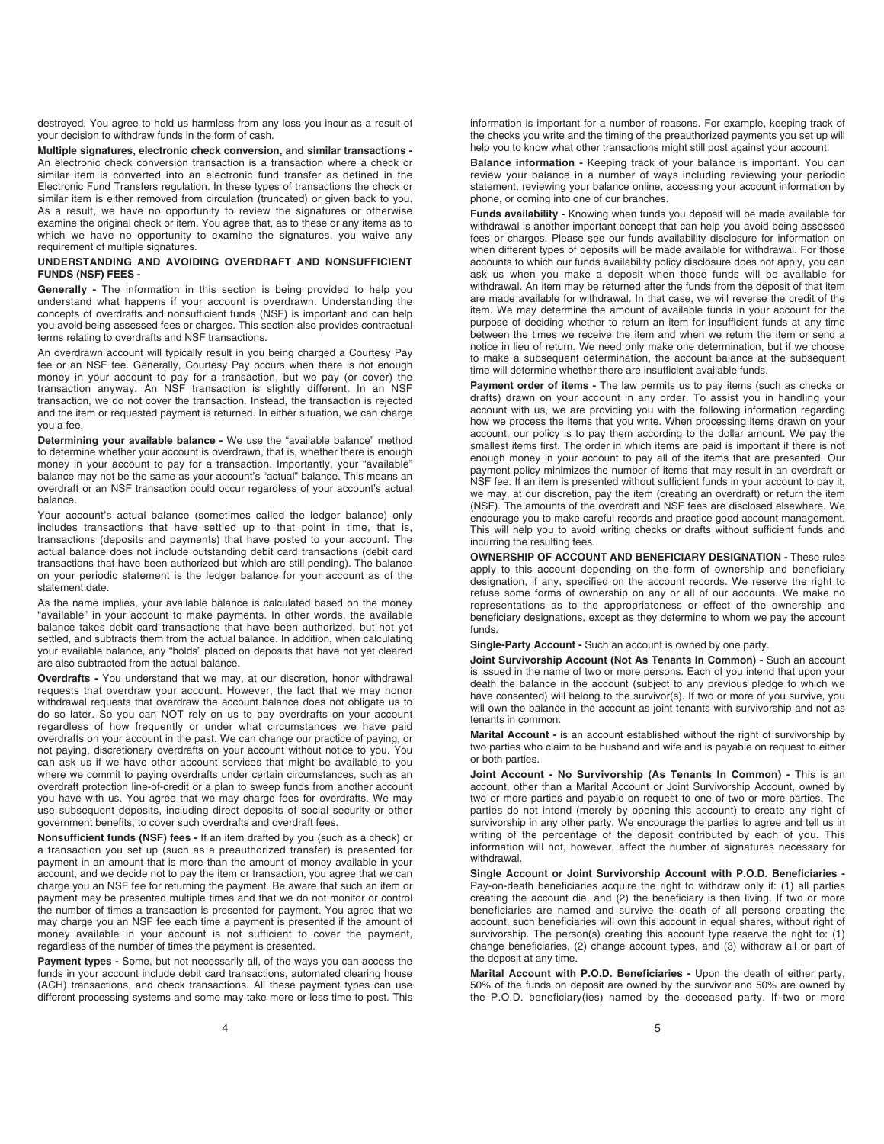destroyed. You agree to hold us harmless from any loss you incur as a result of your decision to withdraw funds in the form of cash.

**Multiple signatures, electronic check conversion, and similar transactions -** An electronic check conversion transaction is a transaction where a check or similar item is converted into an electronic fund transfer as defined in the Electronic Fund Transfers regulation. In these types of transactions the check or similar item is either removed from circulation (truncated) or given back to you. As a result, we have no opportunity to review the signatures or otherwise examine the original check or item. You agree that, as to these or any items as to which we have no opportunity to examine the signatures, you waive any requirement of multiple signatures.

# **UNDERSTANDING AND AVOIDING OVERDRAFT AND NONSUFFICIENT FUNDS (NSF) FEES -**

**Generally -** The information in this section is being provided to help you understand what happens if your account is overdrawn. Understanding the concepts of overdrafts and nonsufficient funds (NSF) is important and can help you avoid being assessed fees or charges. This section also provides contractual terms relating to overdrafts and NSF transactions.

An overdrawn account will typically result in you being charged a Courtesy Pay fee or an NSF fee. Generally, Courtesy Pay occurs when there is not enough money in your account to pay for a transaction, but we pay (or cover) the transaction anyway. An NSF transaction is slightly different. In an NSF transaction, we do not cover the transaction. Instead, the transaction is rejected and the item or requested payment is returned. In either situation, we can charge you a fee.

**Determining your available balance -** We use the "available balance" method to determine whether your account is overdrawn, that is, whether there is enough money in your account to pay for a transaction. Importantly, your "available" balance may not be the same as your account's "actual" balance. This means an overdraft or an NSF transaction could occur regardless of your account's actual balance.

Your account's actual balance (sometimes called the ledger balance) only includes transactions that have settled up to that point in time, that is, transactions (deposits and payments) that have posted to your account. The actual balance does not include outstanding debit card transactions (debit card transactions that have been authorized but which are still pending). The balance on your periodic statement is the ledger balance for your account as of the statement date.

As the name implies, your available balance is calculated based on the money "available" in your account to make payments. In other words, the available balance takes debit card transactions that have been authorized, but not yet settled, and subtracts them from the actual balance. In addition, when calculating your available balance, any "holds" placed on deposits that have not yet cleared are also subtracted from the actual balance.

**Overdrafts -** You understand that we may, at our discretion, honor withdrawal requests that overdraw your account. However, the fact that we may honor withdrawal requests that overdraw the account balance does not obligate us to do so later. So you can NOT rely on us to pay overdrafts on your account regardless of how frequently or under what circumstances we have paid overdrafts on your account in the past. We can change our practice of paying, or not paying, discretionary overdrafts on your account without notice to you. You can ask us if we have other account services that might be available to you where we commit to paying overdrafts under certain circumstances, such as an overdraft protection line-of-credit or a plan to sweep funds from another account you have with us. You agree that we may charge fees for overdrafts. We may use subsequent deposits, including direct deposits of social security or other government benefits, to cover such overdrafts and overdraft fees.

**Nonsufficient funds (NSF) fees -** If an item drafted by you (such as a check) or a transaction you set up (such as a preauthorized transfer) is presented for payment in an amount that is more than the amount of money available in your account, and we decide not to pay the item or transaction, you agree that we can charge you an NSF fee for returning the payment. Be aware that such an item or payment may be presented multiple times and that we do not monitor or control the number of times a transaction is presented for payment. You agree that we may charge you an NSF fee each time a payment is presented if the amount of money available in your account is not sufficient to cover the payment, regardless of the number of times the payment is presented.

**Payment types -** Some, but not necessarily all, of the ways you can access the funds in your account include debit card transactions, automated clearing house (ACH) transactions, and check transactions. All these payment types can use different processing systems and some may take more or less time to post. This

information is important for a number of reasons. For example, keeping track of the checks you write and the timing of the preauthorized payments you set up will help you to know what other transactions might still post against your account.

**Balance information -** Keeping track of your balance is important. You can review your balance in a number of ways including reviewing your periodic statement, reviewing your balance online, accessing your account information by phone, or coming into one of our branches.

**Funds availability -** Knowing when funds you deposit will be made available for withdrawal is another important concept that can help you avoid being assessed fees or charges. Please see our funds availability disclosure for information on when different types of deposits will be made available for withdrawal. For those accounts to which our funds availability policy disclosure does not apply, you can ask us when you make a deposit when those funds will be available for withdrawal. An item may be returned after the funds from the deposit of that item are made available for withdrawal. In that case, we will reverse the credit of the item. We may determine the amount of available funds in your account for the purpose of deciding whether to return an item for insufficient funds at any time between the times we receive the item and when we return the item or send a notice in lieu of return. We need only make one determination, but if we choose to make a subsequent determination, the account balance at the subsequent time will determine whether there are insufficient available funds.

**Payment order of items -** The law permits us to pay items (such as checks or drafts) drawn on your account in any order. To assist you in handling your account with us, we are providing you with the following information regarding how we process the items that you write. When processing items drawn on your account, our policy is to pay them according to the dollar amount. We pay the smallest items first. The order in which items are paid is important if there is not enough money in your account to pay all of the items that are presented. Our payment policy minimizes the number of items that may result in an overdraft or NSF fee. If an item is presented without sufficient funds in your account to pay it, we may, at our discretion, pay the item (creating an overdraft) or return the item (NSF). The amounts of the overdraft and NSF fees are disclosed elsewhere. We encourage you to make careful records and practice good account management. This will help you to avoid writing checks or drafts without sufficient funds and incurring the resulting fees.

**OWNERSHIP OF ACCOUNT AND BENEFICIARY DESIGNATION -** These rules apply to this account depending on the form of ownership and beneficiary designation, if any, specified on the account records. We reserve the right to refuse some forms of ownership on any or all of our accounts. We make no representations as to the appropriateness or effect of the ownership and beneficiary designations, except as they determine to whom we pay the account funds.

**Single-Party Account -** Such an account is owned by one party.

**Joint Survivorship Account (Not As Tenants In Common) -** Such an account is issued in the name of two or more persons. Each of you intend that upon your death the balance in the account (subject to any previous pledge to which we have consented) will belong to the survivor(s). If two or more of you survive, you will own the balance in the account as joint tenants with survivorship and not as tenants in common.

**Marital Account -** is an account established without the right of survivorship by two parties who claim to be husband and wife and is payable on request to either or both parties.

**Joint Account - No Survivorship (As Tenants In Common) -** This is an account, other than a Marital Account or Joint Survivorship Account, owned by two or more parties and payable on request to one of two or more parties. The parties do not intend (merely by opening this account) to create any right of survivorship in any other party. We encourage the parties to agree and tell us in writing of the percentage of the deposit contributed by each of you. This information will not, however, affect the number of signatures necessary for withdrawal.

**Single Account or Joint Survivorship Account with P.O.D. Beneficiaries -**  Pay-on-death beneficiaries acquire the right to withdraw only if: (1) all parties creating the account die, and (2) the beneficiary is then living. If two or more beneficiaries are named and survive the death of all persons creating the account, such beneficiaries will own this account in equal shares, without right of survivorship. The person(s) creating this account type reserve the right to: (1) change beneficiaries, (2) change account types, and (3) withdraw all or part of the deposit at any time.

**Marital Account with P.O.D. Beneficiaries -** Upon the death of either party, 50% of the funds on deposit are owned by the survivor and 50% are owned by the P.O.D. beneficiary(ies) named by the deceased party. If two or more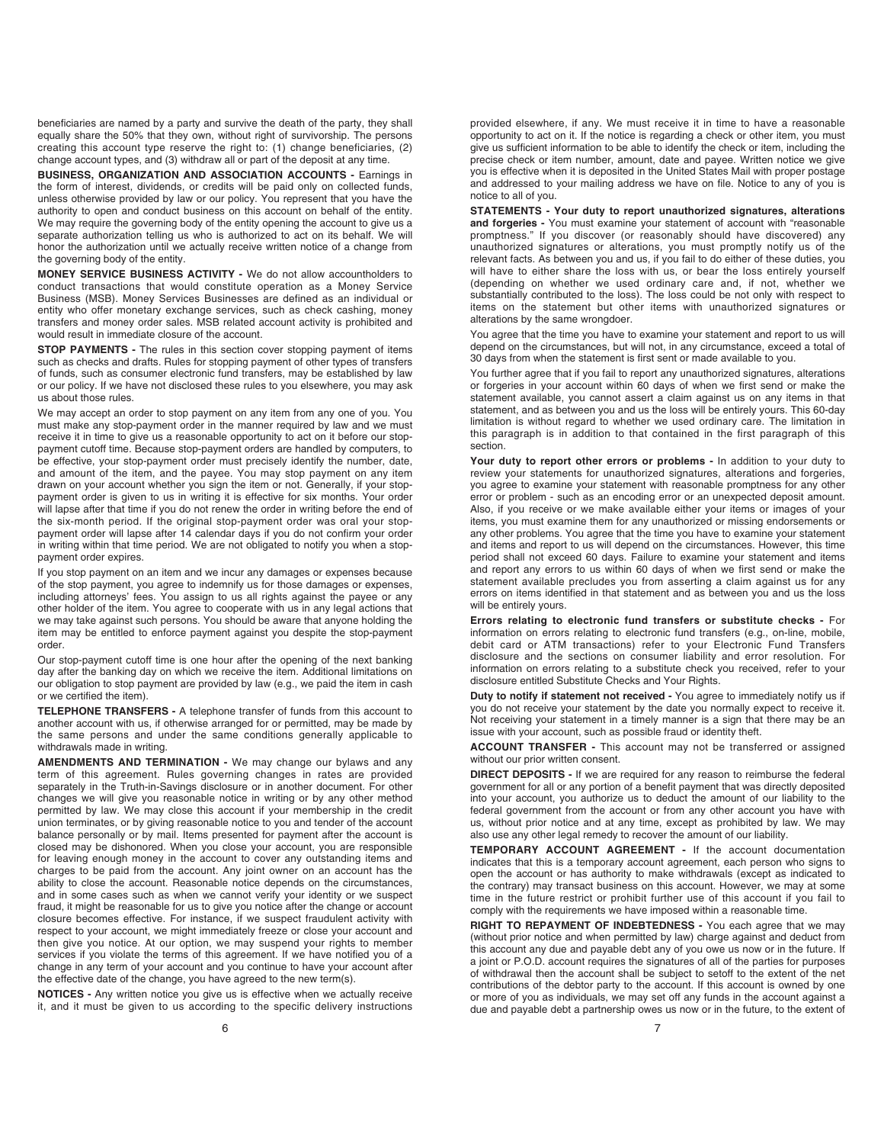beneficiaries are named by a party and survive the death of the party, they shall equally share the 50% that they own, without right of survivorship. The persons creating this account type reserve the right to: (1) change beneficiaries, (2) change account types, and (3) withdraw all or part of the deposit at any time.

**BUSINESS, ORGANIZATION AND ASSOCIATION ACCOUNTS -** Earnings in the form of interest, dividends, or credits will be paid only on collected funds, unless otherwise provided by law or our policy. You represent that you have the authority to open and conduct business on this account on behalf of the entity. We may require the governing body of the entity opening the account to give us a separate authorization telling us who is authorized to act on its behalf. We will honor the authorization until we actually receive written notice of a change from the governing body of the entity.

**MONEY SERVICE BUSINESS ACTIVITY -** We do not allow accountholders to conduct transactions that would constitute operation as a Money Service Business (MSB). Money Services Businesses are defined as an individual or entity who offer monetary exchange services, such as check cashing, money transfers and money order sales. MSB related account activity is prohibited and would result in immediate closure of the account.

**STOP PAYMENTS -** The rules in this section cover stopping payment of items such as checks and drafts. Rules for stopping payment of other types of transfers of funds, such as consumer electronic fund transfers, may be established by law or our policy. If we have not disclosed these rules to you elsewhere, you may ask us about those rules.

We may accept an order to stop payment on any item from any one of you. You must make any stop-payment order in the manner required by law and we must receive it in time to give us a reasonable opportunity to act on it before our stoppayment cutoff time. Because stop-payment orders are handled by computers, to be effective, your stop-payment order must precisely identify the number, date, and amount of the item, and the payee. You may stop payment on any item drawn on your account whether you sign the item or not. Generally, if your stoppayment order is given to us in writing it is effective for six months. Your order will lapse after that time if you do not renew the order in writing before the end of the six-month period. If the original stop-payment order was oral your stoppayment order will lapse after 14 calendar days if you do not confirm your order in writing within that time period. We are not obligated to notify you when a stoppayment order expires.

If you stop payment on an item and we incur any damages or expenses because of the stop payment, you agree to indemnify us for those damages or expenses, including attorneys' fees. You assign to us all rights against the payee or any other holder of the item. You agree to cooperate with us in any legal actions that we may take against such persons. You should be aware that anyone holding the item may be entitled to enforce payment against you despite the stop-payment order.

Our stop-payment cutoff time is one hour after the opening of the next banking day after the banking day on which we receive the item. Additional limitations on our obligation to stop payment are provided by law (e.g., we paid the item in cash or we certified the item).

**TELEPHONE TRANSFERS -** A telephone transfer of funds from this account to another account with us, if otherwise arranged for or permitted, may be made by the same persons and under the same conditions generally applicable to withdrawals made in writing.

**AMENDMENTS AND TERMINATION -** We may change our bylaws and any term of this agreement. Rules governing changes in rates are provided separately in the Truth-in-Savings disclosure or in another document. For other changes we will give you reasonable notice in writing or by any other method permitted by law. We may close this account if your membership in the credit union terminates, or by giving reasonable notice to you and tender of the account balance personally or by mail. Items presented for payment after the account is closed may be dishonored. When you close your account, you are responsible for leaving enough money in the account to cover any outstanding items and charges to be paid from the account. Any joint owner on an account has the ability to close the account. Reasonable notice depends on the circumstances, and in some cases such as when we cannot verify your identity or we suspect fraud, it might be reasonable for us to give you notice after the change or account closure becomes effective. For instance, if we suspect fraudulent activity with respect to your account, we might immediately freeze or close your account and then give you notice. At our option, we may suspend your rights to member services if you violate the terms of this agreement. If we have notified you of a change in any term of your account and you continue to have your account after the effective date of the change, you have agreed to the new term(s).

**NOTICES -** Any written notice you give us is effective when we actually receive it, and it must be given to us according to the specific delivery instructions

provided elsewhere, if any. We must receive it in time to have a reasonable opportunity to act on it. If the notice is regarding a check or other item, you must give us sufficient information to be able to identify the check or item, including the precise check or item number, amount, date and payee. Written notice we give you is effective when it is deposited in the United States Mail with proper postage and addressed to your mailing address we have on file. Notice to any of you is notice to all of you.

**STATEMENTS - Your duty to report unauthorized signatures, alterations and forgeries -** You must examine your statement of account with "reasonable promptness." If you discover (or reasonably should have discovered) any unauthorized signatures or alterations, you must promptly notify us of the relevant facts. As between you and us, if you fail to do either of these duties, you will have to either share the loss with us, or bear the loss entirely yourself (depending on whether we used ordinary care and, if not, whether we substantially contributed to the loss). The loss could be not only with respect to items on the statement but other items with unauthorized signatures or alterations by the same wrongdoer.

You agree that the time you have to examine your statement and report to us will depend on the circumstances, but will not, in any circumstance, exceed a total of 30 days from when the statement is first sent or made available to you.

You further agree that if you fail to report any unauthorized signatures, alterations or forgeries in your account within 60 days of when we first send or make the statement available, you cannot assert a claim against us on any items in that statement, and as between you and us the loss will be entirely yours. This 60-day limitation is without regard to whether we used ordinary care. The limitation in this paragraph is in addition to that contained in the first paragraph of this section.

**Your duty to report other errors or problems -** In addition to your duty to review your statements for unauthorized signatures, alterations and forgeries, you agree to examine your statement with reasonable promptness for any other error or problem - such as an encoding error or an unexpected deposit amount. Also, if you receive or we make available either your items or images of your items, you must examine them for any unauthorized or missing endorsements or any other problems. You agree that the time you have to examine your statement and items and report to us will depend on the circumstances. However, this time period shall not exceed 60 days. Failure to examine your statement and items and report any errors to us within 60 days of when we first send or make the statement available precludes you from asserting a claim against us for any errors on items identified in that statement and as between you and us the loss will be entirely yours.

**Errors relating to electronic fund transfers or substitute checks -** For information on errors relating to electronic fund transfers (e.g., on-line, mobile, debit card or ATM transactions) refer to your Electronic Fund Transfers disclosure and the sections on consumer liability and error resolution. For information on errors relating to a substitute check you received, refer to your disclosure entitled Substitute Checks and Your Rights.

**Duty to notify if statement not received -** You agree to immediately notify us if you do not receive your statement by the date you normally expect to receive it. Not receiving your statement in a timely manner is a sign that there may be an issue with your account, such as possible fraud or identity theft.

**ACCOUNT TRANSFER -** This account may not be transferred or assigned without our prior written consent.

**DIRECT DEPOSITS -** If we are required for any reason to reimburse the federal government for all or any portion of a benefit payment that was directly deposited into your account, you authorize us to deduct the amount of our liability to the federal government from the account or from any other account you have with us, without prior notice and at any time, except as prohibited by law. We may also use any other legal remedy to recover the amount of our liability.

**TEMPORARY ACCOUNT AGREEMENT -** If the account documentation indicates that this is a temporary account agreement, each person who signs to open the account or has authority to make withdrawals (except as indicated to the contrary) may transact business on this account. However, we may at some time in the future restrict or prohibit further use of this account if you fail to comply with the requirements we have imposed within a reasonable time.

**RIGHT TO REPAYMENT OF INDEBTEDNESS -** You each agree that we may (without prior notice and when permitted by law) charge against and deduct from this account any due and payable debt any of you owe us now or in the future. If a joint or P.O.D. account requires the signatures of all of the parties for purposes of withdrawal then the account shall be subject to setoff to the extent of the net contributions of the debtor party to the account. If this account is owned by one or more of you as individuals, we may set off any funds in the account against a due and payable debt a partnership owes us now or in the future, to the extent of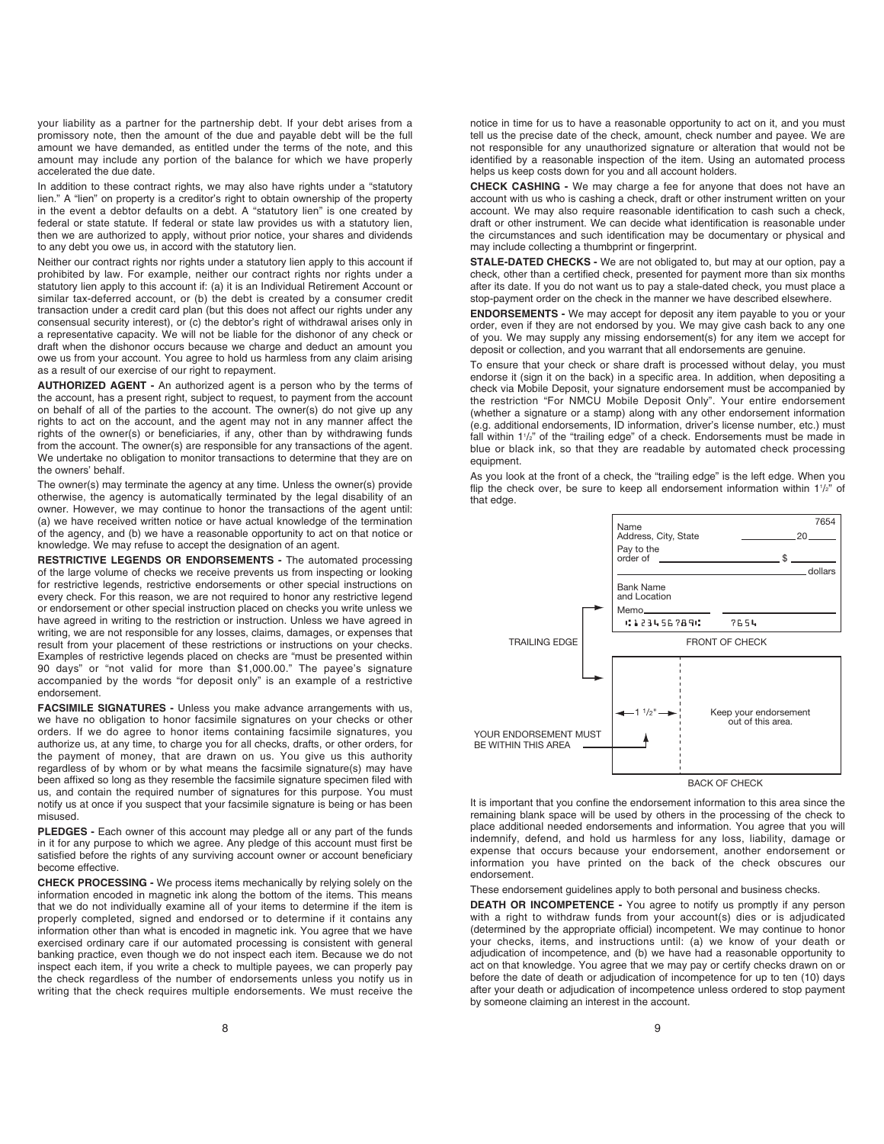your liability as a partner for the partnership debt. If your debt arises from a promissory note, then the amount of the due and payable debt will be the full amount we have demanded, as entitled under the terms of the note, and this amount may include any portion of the balance for which we have properly accelerated the due date.

In addition to these contract rights, we may also have rights under a "statutory lien." A "lien" on property is a creditor's right to obtain ownership of the property in the event a debtor defaults on a debt. A "statutory lien" is one created by federal or state statute. If federal or state law provides us with a statutory lien, then we are authorized to apply, without prior notice, your shares and dividends to any debt you owe us, in accord with the statutory lien.

Neither our contract rights nor rights under a statutory lien apply to this account if prohibited by law. For example, neither our contract rights nor rights under a statutory lien apply to this account if: (a) it is an Individual Retirement Account or similar tax-deferred account, or (b) the debt is created by a consumer credit transaction under a credit card plan (but this does not affect our rights under any consensual security interest), or (c) the debtor's right of withdrawal arises only in a representative capacity. We will not be liable for the dishonor of any check or draft when the dishonor occurs because we charge and deduct an amount you owe us from your account. You agree to hold us harmless from any claim arising as a result of our exercise of our right to repayment.

**AUTHORIZED AGENT -** An authorized agent is a person who by the terms of the account, has a present right, subject to request, to payment from the account on behalf of all of the parties to the account. The owner(s) do not give up any rights to act on the account, and the agent may not in any manner affect the rights of the owner(s) or beneficiaries, if any, other than by withdrawing funds from the account. The owner(s) are responsible for any transactions of the agent. We undertake no obligation to monitor transactions to determine that they are on the owners' behalf.

The owner(s) may terminate the agency at any time. Unless the owner(s) provide otherwise, the agency is automatically terminated by the legal disability of an owner. However, we may continue to honor the transactions of the agent until: (a) we have received written notice or have actual knowledge of the termination of the agency, and (b) we have a reasonable opportunity to act on that notice or knowledge. We may refuse to accept the designation of an agent.

**RESTRICTIVE LEGENDS OR ENDORSEMENTS -** The automated processing of the large volume of checks we receive prevents us from inspecting or looking for restrictive legends, restrictive endorsements or other special instructions on every check. For this reason, we are not required to honor any restrictive legend or endorsement or other special instruction placed on checks you write unless we have agreed in writing to the restriction or instruction. Unless we have agreed in writing, we are not responsible for any losses, claims, damages, or expenses that result from your placement of these restrictions or instructions on your checks. Examples of restrictive legends placed on checks are "must be presented within 90 days" or "not valid for more than \$1,000.00." The payee's signature accompanied by the words "for deposit only" is an example of a restrictive endorsement.

**FACSIMILE SIGNATURES -** Unless you make advance arrangements with us, we have no obligation to honor facsimile signatures on your checks or other orders. If we do agree to honor items containing facsimile signatures, you authorize us, at any time, to charge you for all checks, drafts, or other orders, for the payment of money, that are drawn on us. You give us this authority regardless of by whom or by what means the facsimile signature(s) may have been affixed so long as they resemble the facsimile signature specimen filed with us, and contain the required number of signatures for this purpose. You must notify us at once if you suspect that your facsimile signature is being or has been misused.

**PLEDGES -** Each owner of this account may pledge all or any part of the funds in it for any purpose to which we agree. Any pledge of this account must first be satisfied before the rights of any surviving account owner or account beneficiary become effective.

**CHECK PROCESSING -** We process items mechanically by relying solely on the information encoded in magnetic ink along the bottom of the items. This means that we do not individually examine all of your items to determine if the item is properly completed, signed and endorsed or to determine if it contains any information other than what is encoded in magnetic ink. You agree that we have exercised ordinary care if our automated processing is consistent with general banking practice, even though we do not inspect each item. Because we do not inspect each item, if you write a check to multiple payees, we can properly pay the check regardless of the number of endorsements unless you notify us in writing that the check requires multiple endorsements. We must receive the

**CHECK CASHING -** We may charge a fee for anyone that does not have an account with us who is cashing a check, draft or other instrument written on your account. We may also require reasonable identification to cash such a check. draft or other instrument. We can decide what identification is reasonable under the circumstances and such identification may be documentary or physical and may include collecting a thumbprint or fingerprint.

**STALE-DATED CHECKS -** We are not obligated to, but may at our option, pay a check, other than a certified check, presented for payment more than six months after its date. If you do not want us to pay a stale-dated check, you must place a stop-payment order on the check in the manner we have described elsewhere.

**ENDORSEMENTS -** We may accept for deposit any item payable to you or your order, even if they are not endorsed by you. We may give cash back to any one of you. We may supply any missing endorsement(s) for any item we accept for deposit or collection, and you warrant that all endorsements are genuine.

To ensure that your check or share draft is processed without delay, you must endorse it (sign it on the back) in a specific area. In addition, when depositing a check via Mobile Deposit, your signature endorsement must be accompanied by the restriction "For NMCU Mobile Deposit Only". Your entire endorsement (whether a signature or a stamp) along with any other endorsement information (e.g. additional endorsements, ID information, driver's license number, etc.) must fall within 1<sup>1/2</sup> of the "trailing edge" of a check. Endorsements must be made in blue or black ink, so that they are readable by automated check processing equipment.

As you look at the front of a check, the "trailing edge" is the left edge. When you flip the check over, be sure to keep all endorsement information within  $1\frac{1}{2}$  of that edge.



It is important that you confine the endorsement information to this area since the remaining blank space will be used by others in the processing of the check to place additional needed endorsements and information. You agree that you will indemnify, defend, and hold us harmless for any loss, liability, damage or expense that occurs because your endorsement, another endorsement or information you have printed on the back of the check obscures our endorsement.

These endorsement guidelines apply to both personal and business checks.

**DEATH OR INCOMPETENCE -** You agree to notify us promptly if any person with a right to withdraw funds from your account(s) dies or is adjudicated (determined by the appropriate official) incompetent. We may continue to honor your checks, items, and instructions until: (a) we know of your death or adjudication of incompetence, and (b) we have had a reasonable opportunity to act on that knowledge. You agree that we may pay or certify checks drawn on or before the date of death or adjudication of incompetence for up to ten (10) days after your death or adjudication of incompetence unless ordered to stop payment by someone claiming an interest in the account.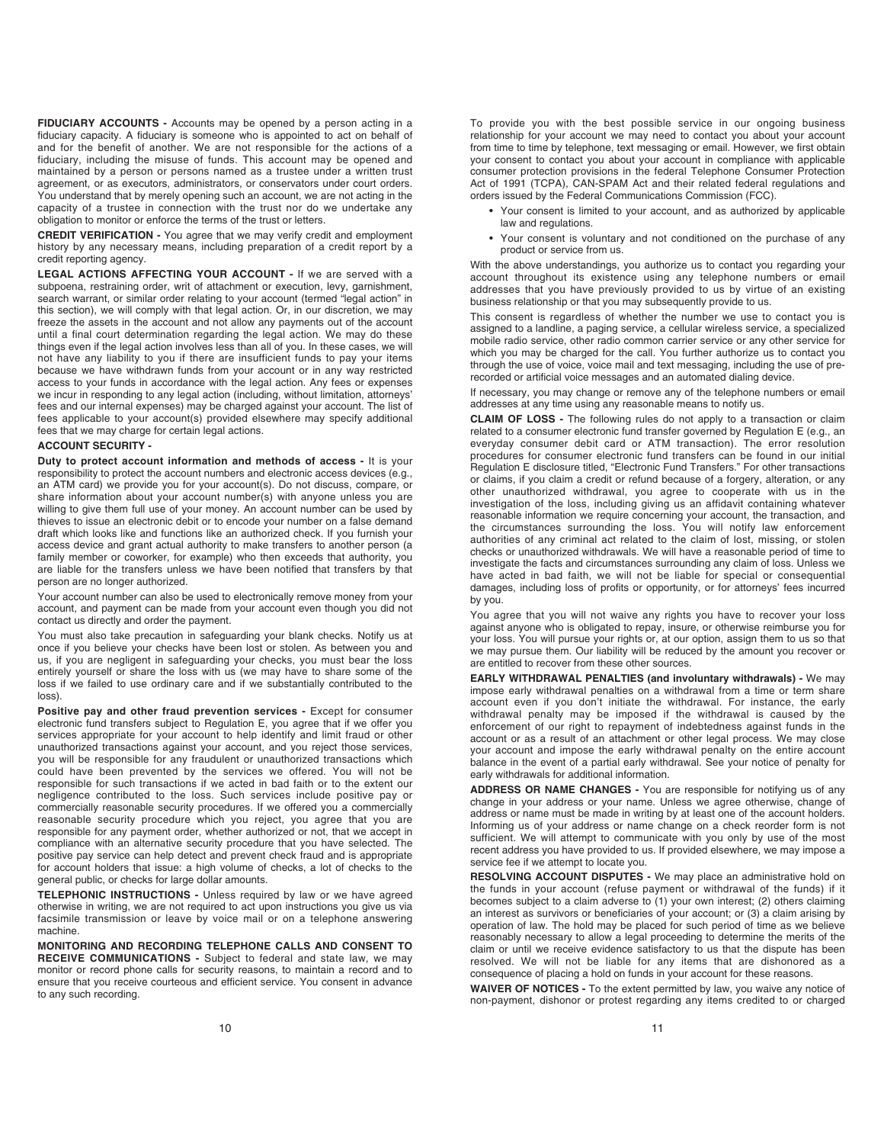**FIDUCIARY ACCOUNTS -** Accounts may be opened by a person acting in a fiduciary capacity. A fiduciary is someone who is appointed to act on behalf of and for the benefit of another. We are not responsible for the actions of a fiduciary, including the misuse of funds. This account may be opened and maintained by a person or persons named as a trustee under a written trust agreement, or as executors, administrators, or conservators under court orders. You understand that by merely opening such an account, we are not acting in the capacity of a trustee in connection with the trust nor do we undertake any obligation to monitor or enforce the terms of the trust or letters.

**CREDIT VERIFICATION -** You agree that we may verify credit and employment history by any necessary means, including preparation of a credit report by a credit reporting agency.

**LEGAL ACTIONS AFFECTING YOUR ACCOUNT -** If we are served with a subpoena, restraining order, writ of attachment or execution, levy, garnishment, search warrant, or similar order relating to your account (termed "legal action" in this section), we will comply with that legal action. Or, in our discretion, we may freeze the assets in the account and not allow any payments out of the account until a final court determination regarding the legal action. We may do these things even if the legal action involves less than all of you. In these cases, we will not have any liability to you if there are insufficient funds to pay your items because we have withdrawn funds from your account or in any way restricted access to your funds in accordance with the legal action. Any fees or expenses we incur in responding to any legal action (including, without limitation, attorneys' fees and our internal expenses) may be charged against your account. The list of fees applicable to your account(s) provided elsewhere may specify additional fees that we may charge for certain legal actions.

#### **ACCOUNT SECURITY -**

**Duty to protect account information and methods of access -** It is your responsibility to protect the account numbers and electronic access devices (e.g., an ATM card) we provide you for your account(s). Do not discuss, compare, or share information about your account number(s) with anyone unless you are willing to give them full use of your money. An account number can be used by thieves to issue an electronic debit or to encode your number on a false demand draft which looks like and functions like an authorized check. If you furnish your access device and grant actual authority to make transfers to another person (a family member or coworker, for example) who then exceeds that authority, you are liable for the transfers unless we have been notified that transfers by that person are no longer authorized.

Your account number can also be used to electronically remove money from your account, and payment can be made from your account even though you did not contact us directly and order the payment.

You must also take precaution in safeguarding your blank checks. Notify us at once if you believe your checks have been lost or stolen. As between you and us, if you are negligent in safeguarding your checks, you must bear the loss entirely yourself or share the loss with us (we may have to share some of the loss if we failed to use ordinary care and if we substantially contributed to the loss).

**Positive pay and other fraud prevention services -** Except for consumer electronic fund transfers subject to Regulation E, you agree that if we offer you services appropriate for your account to help identify and limit fraud or other unauthorized transactions against your account, and you reject those services, you will be responsible for any fraudulent or unauthorized transactions which could have been prevented by the services we offered. You will not be responsible for such transactions if we acted in bad faith or to the extent our negligence contributed to the loss. Such services include positive pay or commercially reasonable security procedures. If we offered you a commercially reasonable security procedure which you reject, you agree that you are responsible for any payment order, whether authorized or not, that we accept in compliance with an alternative security procedure that you have selected. The positive pay service can help detect and prevent check fraud and is appropriate for account holders that issue: a high volume of checks, a lot of checks to the general public, or checks for large dollar amounts.

**TELEPHONIC INSTRUCTIONS -** Unless required by law or we have agreed otherwise in writing, we are not required to act upon instructions you give us via facsimile transmission or leave by voice mail or on a telephone answering machine.

**MONITORING AND RECORDING TELEPHONE CALLS AND CONSENT TO RECEIVE COMMUNICATIONS -** Subject to federal and state law, we may monitor or record phone calls for security reasons, to maintain a record and to ensure that you receive courteous and efficient service. You consent in advance to any such recording.

To provide you with the best possible service in our ongoing business relationship for your account we may need to contact you about your account from time to time by telephone, text messaging or email. However, we first obtain your consent to contact you about your account in compliance with applicable consumer protection provisions in the federal Telephone Consumer Protection Act of 1991 (TCPA), CAN-SPAM Act and their related federal regulations and orders issued by the Federal Communications Commission (FCC).

- Your consent is limited to your account, and as authorized by applicable law and regulations.
- Your consent is voluntary and not conditioned on the purchase of any product or service from us.

With the above understandings, you authorize us to contact you regarding your account throughout its existence using any telephone numbers or email addresses that you have previously provided to us by virtue of an existing business relationship or that you may subsequently provide to us.

This consent is regardless of whether the number we use to contact you is assigned to a landline, a paging service, a cellular wireless service, a specialized mobile radio service, other radio common carrier service or any other service for which you may be charged for the call. You further authorize us to contact you through the use of voice, voice mail and text messaging, including the use of prerecorded or artificial voice messages and an automated dialing device.

If necessary, you may change or remove any of the telephone numbers or email addresses at any time using any reasonable means to notify us.

**CLAIM OF LOSS -** The following rules do not apply to a transaction or claim related to a consumer electronic fund transfer governed by Regulation E (e.g., an everyday consumer debit card or ATM transaction). The error resolution procedures for consumer electronic fund transfers can be found in our initial Regulation E disclosure titled, "Electronic Fund Transfers." For other transactions or claims, if you claim a credit or refund because of a forgery, alteration, or any other unauthorized withdrawal, you agree to cooperate with us in the investigation of the loss, including giving us an affidavit containing whatever reasonable information we require concerning your account, the transaction, and the circumstances surrounding the loss. You will notify law enforcement authorities of any criminal act related to the claim of lost, missing, or stolen checks or unauthorized withdrawals. We will have a reasonable period of time to investigate the facts and circumstances surrounding any claim of loss. Unless we have acted in bad faith, we will not be liable for special or consequential damages, including loss of profits or opportunity, or for attorneys' fees incurred by you.

You agree that you will not waive any rights you have to recover your loss against anyone who is obligated to repay, insure, or otherwise reimburse you for your loss. You will pursue your rights or, at our option, assign them to us so that we may pursue them. Our liability will be reduced by the amount you recover or are entitled to recover from these other sources.

**EARLY WITHDRAWAL PENALTIES (and involuntary withdrawals) -** We may impose early withdrawal penalties on a withdrawal from a time or term share account even if you don't initiate the withdrawal. For instance, the early withdrawal penalty may be imposed if the withdrawal is caused by the enforcement of our right to repayment of indebtedness against funds in the account or as a result of an attachment or other legal process. We may close your account and impose the early withdrawal penalty on the entire account balance in the event of a partial early withdrawal. See your notice of penalty for early withdrawals for additional information.

**ADDRESS OR NAME CHANGES -** You are responsible for notifying us of any change in your address or your name. Unless we agree otherwise, change of address or name must be made in writing by at least one of the account holders. Informing us of your address or name change on a check reorder form is not sufficient. We will attempt to communicate with you only by use of the most recent address you have provided to us. If provided elsewhere, we may impose a service fee if we attempt to locate you.

**RESOLVING ACCOUNT DISPUTES -** We may place an administrative hold on the funds in your account (refuse payment or withdrawal of the funds) if it becomes subject to a claim adverse to (1) your own interest; (2) others claiming an interest as survivors or beneficiaries of your account; or (3) a claim arising by operation of law. The hold may be placed for such period of time as we believe reasonably necessary to allow a legal proceeding to determine the merits of the claim or until we receive evidence satisfactory to us that the dispute has been resolved. We will not be liable for any items that are dishonored as a consequence of placing a hold on funds in your account for these reasons.

**WAIVER OF NOTICES -** To the extent permitted by law, you waive any notice of non-payment, dishonor or protest regarding any items credited to or charged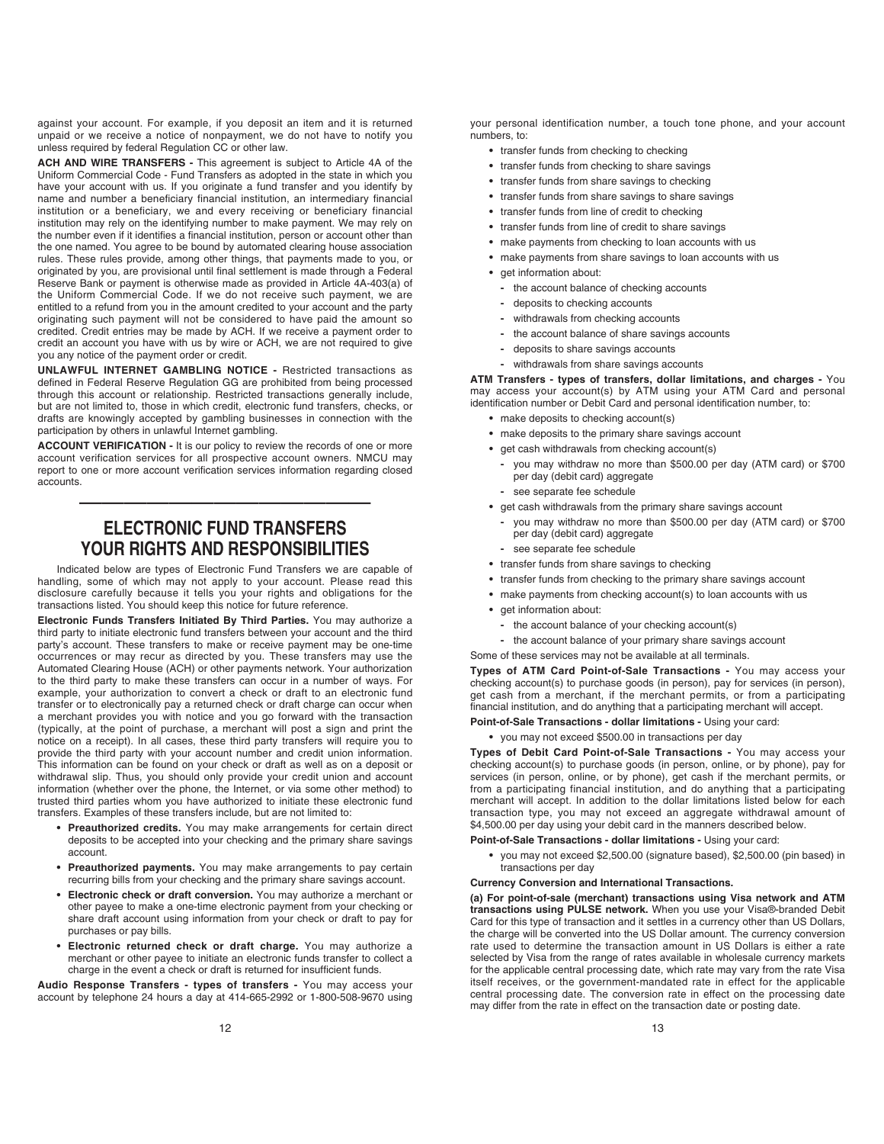against your account. For example, if you deposit an item and it is returned unpaid or we receive a notice of nonpayment, we do not have to notify you unless required by federal Regulation CC or other law.

**ACH AND WIRE TRANSFERS -** This agreement is subject to Article 4A of the Uniform Commercial Code - Fund Transfers as adopted in the state in which you have your account with us. If you originate a fund transfer and you identify by name and number a beneficiary financial institution, an intermediary financial institution or a beneficiary, we and every receiving or beneficiary financial institution may rely on the identifying number to make payment. We may rely on the number even if it identifies a financial institution, person or account other than the one named. You agree to be bound by automated clearing house association rules. These rules provide, among other things, that payments made to you, or originated by you, are provisional until final settlement is made through a Federal Reserve Bank or payment is otherwise made as provided in Article 4A-403(a) of the Uniform Commercial Code. If we do not receive such payment, we are entitled to a refund from you in the amount credited to your account and the party originating such payment will not be considered to have paid the amount so credited. Credit entries may be made by ACH. If we receive a payment order to credit an account you have with us by wire or ACH, we are not required to give you any notice of the payment order or credit.

**UNLAWFUL INTERNET GAMBLING NOTICE -** Restricted transactions as defined in Federal Reserve Regulation GG are prohibited from being processed through this account or relationship. Restricted transactions generally include, but are not limited to, those in which credit, electronic fund transfers, checks, or drafts are knowingly accepted by gambling businesses in connection with the participation by others in unlawful Internet gambling.

**ACCOUNT VERIFICATION -** It is our policy to review the records of one or more account verification services for all prospective account owners. NMCU may report to one or more account verification services information regarding closed accounts.

# **ELECTRONIC FUND TRANSFERS YOUR RIGHTS AND RESPONSIBILITIES**

—————————————

Indicated below are types of Electronic Fund Transfers we are capable of handling, some of which may not apply to your account. Please read this disclosure carefully because it tells you your rights and obligations for the transactions listed. You should keep this notice for future reference.

**Electronic Funds Transfers Initiated By Third Parties.** You may authorize a third party to initiate electronic fund transfers between your account and the third party's account. These transfers to make or receive payment may be one-time occurrences or may recur as directed by you. These transfers may use the Automated Clearing House (ACH) or other payments network. Your authorization to the third party to make these transfers can occur in a number of ways. For example, your authorization to convert a check or draft to an electronic fund transfer or to electronically pay a returned check or draft charge can occur when a merchant provides you with notice and you go forward with the transaction (typically, at the point of purchase, a merchant will post a sign and print the notice on a receipt). In all cases, these third party transfers will require you to provide the third party with your account number and credit union information. This information can be found on your check or draft as well as on a deposit or withdrawal slip. Thus, you should only provide your credit union and account information (whether over the phone, the Internet, or via some other method) to trusted third parties whom you have authorized to initiate these electronic fund transfers. Examples of these transfers include, but are not limited to:

- **Preauthorized credits.** You may make arrangements for certain direct deposits to be accepted into your checking and the primary share savings account.
- **Preauthorized payments.** You may make arrangements to pay certain recurring bills from your checking and the primary share savings account.
- **Electronic check or draft conversion.** You may authorize a merchant or other payee to make a one-time electronic payment from your checking or share draft account using information from your check or draft to pay for purchases or pay bills.
- **Electronic returned check or draft charge.** You may authorize a merchant or other payee to initiate an electronic funds transfer to collect a charge in the event a check or draft is returned for insufficient funds.

**Audio Response Transfers - types of transfers -** You may access your account by telephone 24 hours a day at 414-665-2992 or 1-800-508-9670 using

- **•** transfer funds from checking to checking
- **•** transfer funds from checking to share savings
- **•** transfer funds from share savings to checking
- **•** transfer funds from share savings to share savings
- **•** transfer funds from line of credit to checking
- **•** transfer funds from line of credit to share savings
- **•** make payments from checking to loan accounts with us
- **•** make payments from share savings to loan accounts with us
- get information about:
	- **-** the account balance of checking accounts
	- **-** deposits to checking accounts
	- **-** withdrawals from checking accounts
	- **-** the account balance of share savings accounts
	- **-** deposits to share savings accounts
	- **-** withdrawals from share savings accounts

**ATM Transfers - types of transfers, dollar limitations, and charges -** You may access your account(s) by ATM using your ATM Card and personal identification number or Debit Card and personal identification number, to:

- **•** make deposits to checking account(s)
- **•** make deposits to the primary share savings account
- **•** get cash withdrawals from checking account(s)
	- **-** you may withdraw no more than \$500.00 per day (ATM card) or \$700 per day (debit card) aggregate
	- **-** see separate fee schedule
- **•** get cash withdrawals from the primary share savings account
	- **-** you may withdraw no more than \$500.00 per day (ATM card) or \$700 per day (debit card) aggregate
	- **-** see separate fee schedule
- **•** transfer funds from share savings to checking
- **•** transfer funds from checking to the primary share savings account
- **•** make payments from checking account(s) to loan accounts with us
- **•** get information about:
	- **-** the account balance of your checking account(s)
- **-** the account balance of your primary share savings account

Some of these services may not be available at all terminals.

**Types of ATM Card Point-of-Sale Transactions -** You may access your checking account(s) to purchase goods (in person), pay for services (in person), get cash from a merchant, if the merchant permits, or from a participating financial institution, and do anything that a participating merchant will accept.

- **Point-of-Sale Transactions dollar limitations -** Using your card:
	- **•** you may not exceed \$500.00 in transactions per day

**Types of Debit Card Point-of-Sale Transactions -** You may access your checking account(s) to purchase goods (in person, online, or by phone), pay for services (in person, online, or by phone), get cash if the merchant permits, or from a participating financial institution, and do anything that a participating merchant will accept. In addition to the dollar limitations listed below for each transaction type, you may not exceed an aggregate withdrawal amount of \$4,500.00 per day using your debit card in the manners described below.

- **Point-of-Sale Transactions dollar limitations -** Using your card:
	- **•** you may not exceed \$2,500.00 (signature based), \$2,500.00 (pin based) in transactions per day
- **Currency Conversion and International Transactions.**

**(a) For point-of-sale (merchant) transactions using Visa network and ATM transactions using PULSE network.** When you use your Visa®-branded Debit Card for this type of transaction and it settles in a currency other than US Dollars, the charge will be converted into the US Dollar amount. The currency conversion rate used to determine the transaction amount in US Dollars is either a rate selected by Visa from the range of rates available in wholesale currency markets for the applicable central processing date, which rate may vary from the rate Visa itself receives, or the government-mandated rate in effect for the applicable central processing date. The conversion rate in effect on the processing date may differ from the rate in effect on the transaction date or posting date.

13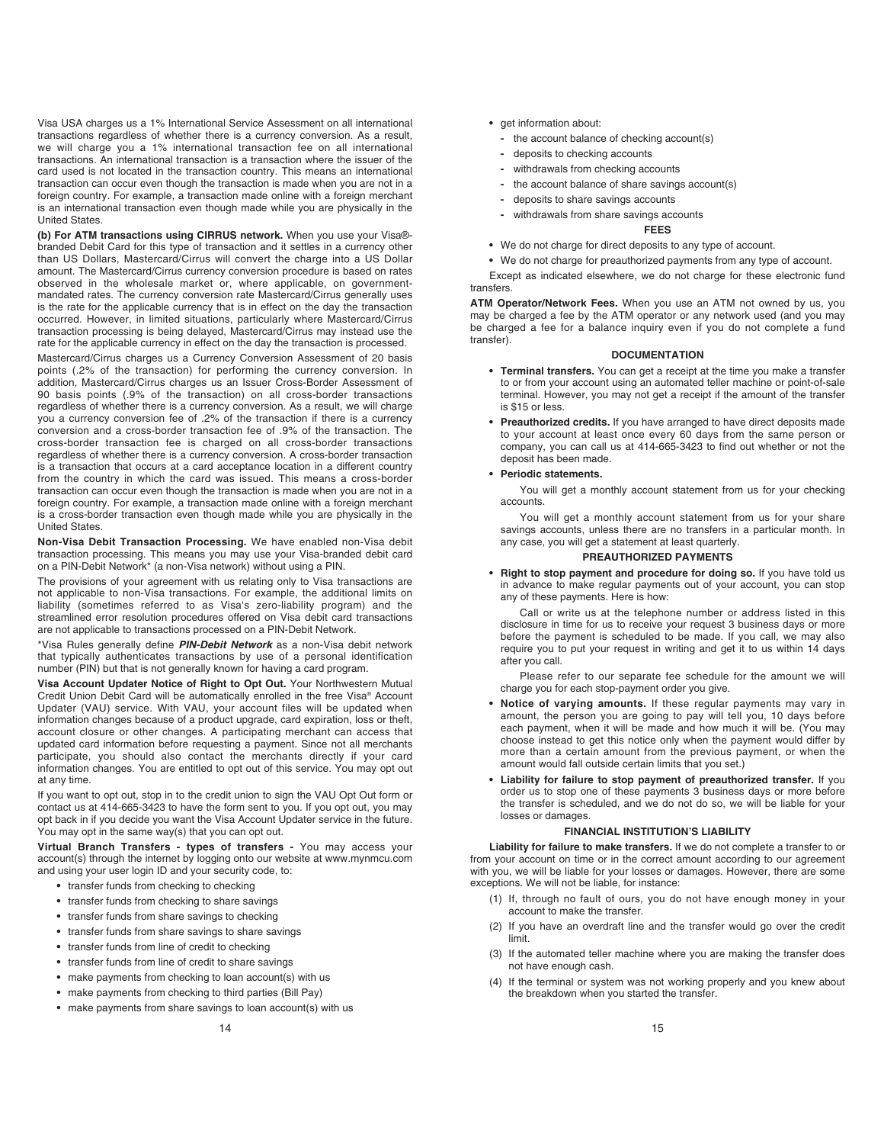Visa USA charges us a 1% International Service Assessment on all international transactions regardless of whether there is a currency conversion. As a result, we will charge you a 1% international transaction fee on all international transactions. An international transaction is a transaction where the issuer of the card used is not located in the transaction country. This means an international transaction can occur even though the transaction is made when you are not in a foreign country. For example, a transaction made online with a foreign merchant is an international transaction even though made while you are physically in the United States.

**(b) For ATM transactions using CIRRUS network.** When you use your Visa® branded Debit Card for this type of transaction and it settles in a currency other than US Dollars, Mastercard/Cirrus will convert the charge into a US Dollar amount. The Mastercard/Cirrus currency conversion procedure is based on rates observed in the wholesale market or, where applicable, on governmentmandated rates. The currency conversion rate Mastercard/Cirrus generally uses is the rate for the applicable currency that is in effect on the day the transaction occurred. However, in limited situations, particularly where Mastercard/Cirrus transaction processing is being delayed, Mastercard/Cirrus may instead use the rate for the applicable currency in effect on the day the transaction is processed.

Mastercard/Cirrus charges us a Currency Conversion Assessment of 20 basis points (.2% of the transaction) for performing the currency conversion. In addition, Mastercard/Cirrus charges us an Issuer Cross-Border Assessment of 90 basis points (.9% of the transaction) on all cross-border transactions regardless of whether there is a currency conversion. As a result, we will charge you a currency conversion fee of .2% of the transaction if there is a currency conversion and a cross-border transaction fee of .9% of the transaction. The cross-border transaction fee is charged on all cross-border transactions regardless of whether there is a currency conversion. A cross-border transaction is a transaction that occurs at a card acceptance location in a different country from the country in which the card was issued. This means a cross-border transaction can occur even though the transaction is made when you are not in a foreign country. For example, a transaction made online with a foreign merchant is a cross-border transaction even though made while you are physically in the United States.

**Non-Visa Debit Transaction Processing.** We have enabled non-Visa debit transaction processing. This means you may use your Visa-branded debit card on a PIN-Debit Network\* (a non-Visa network) without using a PIN.

The provisions of your agreement with us relating only to Visa transactions are not applicable to non-Visa transactions. For example, the additional limits on liability (sometimes referred to as Visa's zero-liability program) and the streamlined error resolution procedures offered on Visa debit card transactions are not applicable to transactions processed on a PIN-Debit Network.

\*Visa Rules generally define *PIN-Debit Network* as a non-Visa debit network that typically authenticates transactions by use of a personal identification number (PIN) but that is not generally known for having a card program.

**Visa Account Updater Notice of Right to Opt Out.** Your Northwestern Mutual Credit Union Debit Card will be automatically enrolled in the free Visa® Account Updater (VAU) service. With VAU, your account files will be updated when information changes because of a product upgrade, card expiration, loss or theft, account closure or other changes. A participating merchant can access that updated card information before requesting a payment. Since not all merchants participate, you should also contact the merchants directly if your card information changes. You are entitled to opt out of this service. You may opt out at any time.

If you want to opt out, stop in to the credit union to sign the VAU Opt Out form or contact us at 414-665-3423 to have the form sent to you. If you opt out, you may opt back in if you decide you want the Visa Account Updater service in the future. You may opt in the same way(s) that you can opt out.

**Virtual Branch Transfers - types of transfers -** You may access your account(s) through the internet by logging onto our website at www.mynmcu.com and using your user login ID and your security code, to:

- transfer funds from checking to checking
- **•** transfer funds from checking to share savings
- **•** transfer funds from share savings to checking
- **•** transfer funds from share savings to share savings
- **•** transfer funds from line of credit to checking
- **•** transfer funds from line of credit to share savings
- **•** make payments from checking to loan account(s) with us
- **•** make payments from checking to third parties (Bill Pay)
- **•** make payments from share savings to loan account(s) with us
- **•** get information about:
	- **-** the account balance of checking account(s)
	- **-** deposits to checking accounts
	- **-** withdrawals from checking accounts
	- **-** the account balance of share savings account(s)
	- **-** deposits to share savings accounts
	- **-** withdrawals from share savings accounts
	- **FEES**
- **•** We do not charge for direct deposits to any type of account.

**•** We do not charge for preauthorized payments from any type of account. Except as indicated elsewhere, we do not charge for these electronic fund transfers.

**ATM Operator/Network Fees.** When you use an ATM not owned by us, you may be charged a fee by the ATM operator or any network used (and you may be charged a fee for a balance inquiry even if you do not complete a fund transfer).

#### **DOCUMENTATION**

- **Terminal transfers.** You can get a receipt at the time you make a transfer to or from your account using an automated teller machine or point-of-sale terminal. However, you may not get a receipt if the amount of the transfer is \$15 or less.
- **Preauthorized credits.** If you have arranged to have direct deposits made to your account at least once every 60 days from the same person or company, you can call us at 414-665-3423 to find out whether or not the deposit has been made.

#### **• Periodic statements.**

You will get a monthly account statement from us for your checking accounts.

You will get a monthly account statement from us for your share savings accounts, unless there are no transfers in a particular month. In any case, you will get a statement at least quarterly.

#### **PREAUTHORIZED PAYMENTS**

**• Right to stop payment and procedure for doing so.** If you have told us in advance to make regular payments out of your account, you can stop any of these payments. Here is how:

Call or write us at the telephone number or address listed in this disclosure in time for us to receive your request 3 business days or more before the payment is scheduled to be made. If you call, we may also require you to put your request in writing and get it to us within 14 days after you call.

Please refer to our separate fee schedule for the amount we will charge you for each stop-payment order you give.

- **Notice of varying amounts.** If these regular payments may vary in amount, the person you are going to pay will tell you, 10 days before each payment, when it will be made and how much it will be. (You may choose instead to get this notice only when the payment would differ by more than a certain amount from the previous payment, or when the amount would fall outside certain limits that you set.)
- **Liability for failure to stop payment of preauthorized transfer.** If you order us to stop one of these payments 3 business days or more before the transfer is scheduled, and we do not do so, we will be liable for your losses or damages.

## **FINANCIAL INSTITUTION'S LIABILITY**

**Liability for failure to make transfers.** If we do not complete a transfer to or from your account on time or in the correct amount according to our agreement with you, we will be liable for your losses or damages. However, there are some exceptions. We will not be liable, for instance:

- (1) If, through no fault of ours, you do not have enough money in your account to make the transfer.
- (2) If you have an overdraft line and the transfer would go over the credit limit.
- (3) If the automated teller machine where you are making the transfer does not have enough cash.
- (4) If the terminal or system was not working properly and you knew about the breakdown when you started the transfer.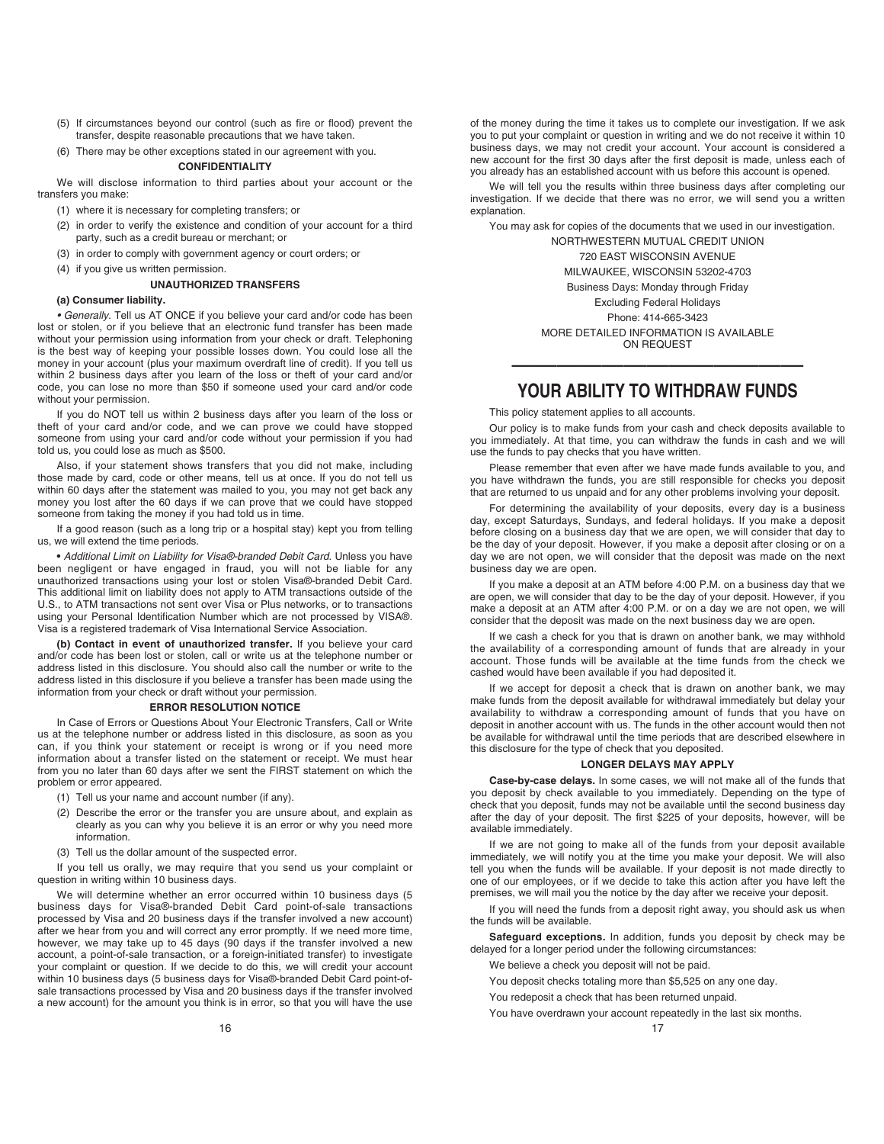- (5) If circumstances beyond our control (such as fire or flood) prevent the transfer, despite reasonable precautions that we have taken.
- (6) There may be other exceptions stated in our agreement with you.

## **CONFIDENTIALITY**

We will disclose information to third parties about your account or the transfers you make:

- (1) where it is necessary for completing transfers; or
- (2) in order to verify the existence and condition of your account for a third party, such as a credit bureau or merchant; or
- (3) in order to comply with government agency or court orders; or
- (4) if you give us written permission.

#### **UNAUTHORIZED TRANSFERS**

## **(a) Consumer liability.**

• Generally. Tell us AT ONCE if you believe your card and/or code has been lost or stolen, or if you believe that an electronic fund transfer has been made without your permission using information from your check or draft. Telephoning is the best way of keeping your possible losses down. You could lose all the money in your account (plus your maximum overdraft line of credit). If you tell us within 2 business days after you learn of the loss or theft of your card and/or code, you can lose no more than \$50 if someone used your card and/or code without your permission.

If you do NOT tell us within 2 business days after you learn of the loss or theft of your card and/or code, and we can prove we could have stopped someone from using your card and/or code without your permission if you had told us, you could lose as much as \$500.

Also, if your statement shows transfers that you did not make, including those made by card, code or other means, tell us at once. If you do not tell us within 60 days after the statement was mailed to you, you may not get back any money you lost after the 60 days if we can prove that we could have stopped someone from taking the money if you had told us in time.

If a good reason (such as a long trip or a hospital stay) kept you from telling us, we will extend the time periods.

**•** Additional Limit on Liability for Visa®-branded Debit Card. Unless you have been negligent or have engaged in fraud, you will not be liable for any unauthorized transactions using your lost or stolen Visa®-branded Debit Card. This additional limit on liability does not apply to ATM transactions outside of the U.S., to ATM transactions not sent over Visa or Plus networks, or to transactions using your Personal Identification Number which are not processed by VISA®. Visa is a registered trademark of Visa International Service Association.

**(b) Contact in event of unauthorized transfer.** If you believe your card and/or code has been lost or stolen, call or write us at the telephone number or address listed in this disclosure. You should also call the number or write to the address listed in this disclosure if you believe a transfer has been made using the information from your check or draft without your permission.

#### **ERROR RESOLUTION NOTICE**

In Case of Errors or Questions About Your Electronic Transfers, Call or Write us at the telephone number or address listed in this disclosure, as soon as you can, if you think your statement or receipt is wrong or if you need more information about a transfer listed on the statement or receipt. We must hear from you no later than 60 days after we sent the FIRST statement on which the problem or error appeared.

- (1) Tell us your name and account number (if any).
- (2) Describe the error or the transfer you are unsure about, and explain as clearly as you can why you believe it is an error or why you need more information.
- (3) Tell us the dollar amount of the suspected error.

If you tell us orally, we may require that you send us your complaint or question in writing within 10 business days.

We will determine whether an error occurred within 10 business days (5 business days for Visa®-branded Debit Card point-of-sale transactions processed by Visa and 20 business days if the transfer involved a new account) after we hear from you and will correct any error promptly. If we need more time, however, we may take up to 45 days (90 days if the transfer involved a new account, a point-of-sale transaction, or a foreign-initiated transfer) to investigate your complaint or question. If we decide to do this, we will credit your account within 10 business days (5 business days for Visa®-branded Debit Card point-ofsale transactions processed by Visa and 20 business days if the transfer involved a new account) for the amount you think is in error, so that you will have the use

of the money during the time it takes us to complete our investigation. If we ask you to put your complaint or question in writing and we do not receive it within 10 business days, we may not credit your account. Your account is considered a new account for the first 30 days after the first deposit is made, unless each of you already has an established account with us before this account is opened.

We will tell you the results within three business days after completing our investigation. If we decide that there was no error, we will send you a written explanation.

You may ask for copies of the documents that we used in our investigation.

NORTHWESTERN MUTUAL CREDIT UNION 720 EAST WISCONSIN AVENUE MILWAUKEE, WISCONSIN 53202-4703 Business Days: Monday through Friday Excluding Federal Holidays Phone: 414-665-3423 MORE DETAILED INFORMATION IS AVAILABLE

ON REQUEST —————————————

# **YOUR ABILITY TO WITHDRAW FUNDS**

This policy statement applies to all accounts.

Our policy is to make funds from your cash and check deposits available to you immediately. At that time, you can withdraw the funds in cash and we will use the funds to pay checks that you have written.

Please remember that even after we have made funds available to you, and you have withdrawn the funds, you are still responsible for checks you deposit that are returned to us unpaid and for any other problems involving your deposit.

For determining the availability of your deposits, every day is a business day, except Saturdays, Sundays, and federal holidays. If you make a deposit before closing on a business day that we are open, we will consider that day to be the day of your deposit. However, if you make a deposit after closing or on a day we are not open, we will consider that the deposit was made on the next business day we are open.

If you make a deposit at an ATM before 4:00 P.M. on a business day that we are open, we will consider that day to be the day of your deposit. However, if you make a deposit at an ATM after 4:00 P.M. or on a day we are not open, we will consider that the deposit was made on the next business day we are open.

If we cash a check for you that is drawn on another bank, we may withhold the availability of a corresponding amount of funds that are already in your account. Those funds will be available at the time funds from the check we cashed would have been available if you had deposited it.

If we accept for deposit a check that is drawn on another bank, we may make funds from the deposit available for withdrawal immediately but delay your availability to withdraw a corresponding amount of funds that you have on deposit in another account with us. The funds in the other account would then not be available for withdrawal until the time periods that are described elsewhere in this disclosure for the type of check that you deposited.

## **LONGER DELAYS MAY APPLY**

**Case-by-case delays.** In some cases, we will not make all of the funds that you deposit by check available to you immediately. Depending on the type of check that you deposit, funds may not be available until the second business day after the day of your deposit. The first \$225 of your deposits, however, will be available immediately.

If we are not going to make all of the funds from your deposit available immediately, we will notify you at the time you make your deposit. We will also tell you when the funds will be available. If your deposit is not made directly to one of our employees, or if we decide to take this action after you have left the premises, we will mail you the notice by the day after we receive your deposit.

If you will need the funds from a deposit right away, you should ask us when the funds will be available.

**Safeguard exceptions.** In addition, funds you deposit by check may be delayed for a longer period under the following circumstances:

- We believe a check you deposit will not be paid.
- You deposit checks totaling more than \$5,525 on any one day.
- You redeposit a check that has been returned unpaid.
- You have overdrawn your account repeatedly in the last six months.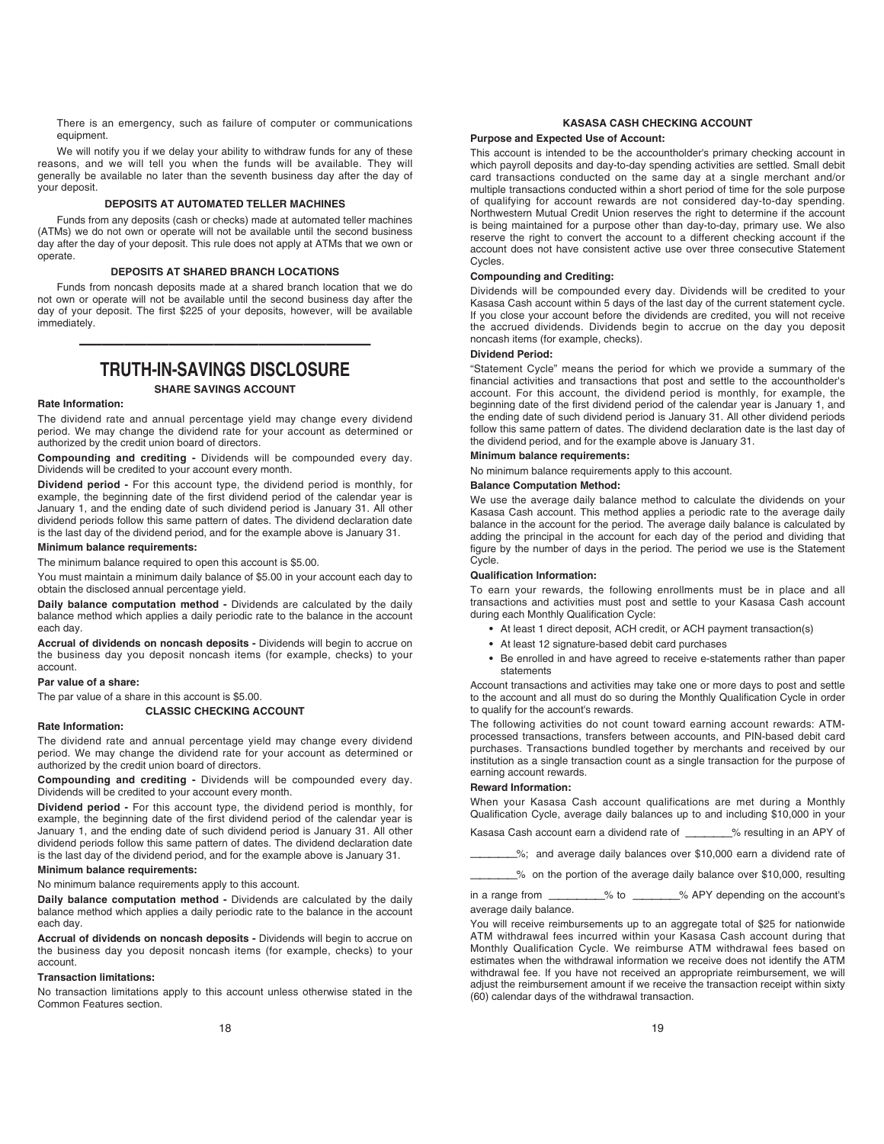There is an emergency, such as failure of computer or communications equipment.

We will notify you if we delay your ability to withdraw funds for any of these reasons, and we will tell you when the funds will be available. They will generally be available no later than the seventh business day after the day of your deposit.

# **DEPOSITS AT AUTOMATED TELLER MACHINES**

Funds from any deposits (cash or checks) made at automated teller machines (ATMs) we do not own or operate will not be available until the second business day after the day of your deposit. This rule does not apply at ATMs that we own or operate.

# **DEPOSITS AT SHARED BRANCH LOCATIONS**

Funds from noncash deposits made at a shared branch location that we do not own or operate will not be available until the second business day after the day of your deposit. The first \$225 of your deposits, however, will be available immediately.

# ————————————— **TRUTH-IN-SAVINGS DISCLOSURE**

**SHARE SAVINGS ACCOUNT** 

# **Rate Information:**

The dividend rate and annual percentage yield may change every dividend period. We may change the dividend rate for your account as determined or authorized by the credit union board of directors.

**Compounding and crediting -** Dividends will be compounded every day. Dividends will be credited to your account every month.

**Dividend period -** For this account type, the dividend period is monthly, for example, the beginning date of the first dividend period of the calendar year is January 1, and the ending date of such dividend period is January 31. All other dividend periods follow this same pattern of dates. The dividend declaration date is the last day of the dividend period, and for the example above is January 31.

# **Minimum balance requirements:**

The minimum balance required to open this account is \$5.00.

You must maintain a minimum daily balance of \$5.00 in your account each day to obtain the disclosed annual percentage yield.

**Daily balance computation method -** Dividends are calculated by the daily balance method which applies a daily periodic rate to the balance in the account each day.

**Accrual of dividends on noncash deposits -** Dividends will begin to accrue on the business day you deposit noncash items (for example, checks) to your account.

# **Par value of a share:**

The par value of a share in this account is \$5.00.

**CLASSIC CHECKING ACCOUNT** 

## **Rate Information:**

The dividend rate and annual percentage yield may change every dividend period. We may change the dividend rate for your account as determined or authorized by the credit union board of directors.

**Compounding and crediting -** Dividends will be compounded every day. Dividends will be credited to your account every month.

**Dividend period -** For this account type, the dividend period is monthly, for example, the beginning date of the first dividend period of the calendar year is January 1, and the ending date of such dividend period is January 31. All other dividend periods follow this same pattern of dates. The dividend declaration date is the last day of the dividend period, and for the example above is January 31. **Minimum balance requirements:**

No minimum balance requirements apply to this account.

**Daily balance computation method -** Dividends are calculated by the daily balance method which applies a daily periodic rate to the balance in the account each day.

**Accrual of dividends on noncash deposits -** Dividends will begin to accrue on the business day you deposit noncash items (for example, checks) to your account.

## **Transaction limitations:**

No transaction limitations apply to this account unless otherwise stated in the Common Features section.

#### **KASASA CASH CHECKING ACCOUNT**

# **Purpose and Expected Use of Account:**

This account is intended to be the accountholder's primary checking account in which payroll deposits and day-to-day spending activities are settled. Small debit card transactions conducted on the same day at a single merchant and/or multiple transactions conducted within a short period of time for the sole purpose of qualifying for account rewards are not considered day-to-day spending. Northwestern Mutual Credit Union reserves the right to determine if the account is being maintained for a purpose other than day-to-day, primary use. We also reserve the right to convert the account to a different checking account if the account does not have consistent active use over three consecutive Statement Cycles.

#### **Compounding and Crediting:**

Dividends will be compounded every day. Dividends will be credited to your Kasasa Cash account within 5 days of the last day of the current statement cycle. If you close your account before the dividends are credited, you will not receive the accrued dividends. Dividends begin to accrue on the day you deposit noncash items (for example, checks).

#### **Dividend Period:**

"Statement Cycle" means the period for which we provide a summary of the financial activities and transactions that post and settle to the accountholder's account. For this account, the dividend period is monthly, for example, the beginning date of the first dividend period of the calendar year is January 1, and the ending date of such dividend period is January 31. All other dividend periods follow this same pattern of dates. The dividend declaration date is the last day of the dividend period, and for the example above is January 31.

# **Minimum balance requirements:**

No minimum balance requirements apply to this account.

#### **Balance Computation Method:**

We use the average daily balance method to calculate the dividends on your Kasasa Cash account. This method applies a periodic rate to the average daily balance in the account for the period. The average daily balance is calculated by adding the principal in the account for each day of the period and dividing that figure by the number of days in the period. The period we use is the Statement Cycle.

#### **Qualification Information:**

To earn your rewards, the following enrollments must be in place and all transactions and activities must post and settle to your Kasasa Cash account during each Monthly Qualification Cycle:

- **•** At least 1 direct deposit, ACH credit, or ACH payment transaction(s)
- **•** At least 12 signature-based debit card purchases
- **•** Be enrolled in and have agreed to receive e-statements rather than paper statements

Account transactions and activities may take one or more days to post and settle to the account and all must do so during the Monthly Qualification Cycle in order to qualify for the account's rewards.

The following activities do not count toward earning account rewards: ATMprocessed transactions, transfers between accounts, and PIN-based debit card purchases. Transactions bundled together by merchants and received by our institution as a single transaction count as a single transaction for the purpose of earning account rewards.

#### **Reward Information:**

When your Kasasa Cash account qualifications are met during a Monthly Qualification Cycle, average daily balances up to and including \$10,000 in your

Kasasa Cash account earn a dividend rate of \_\_\_\_\_\_\_% resulting in an APY of

—————%; and average daily balances over \$10,000 earn a dividend rate of

—————% on the portion of the average daily balance over \$10,000, resulting

in a range from \_\_\_\_\_\_\_\_\_% to \_\_\_\_\_\_\_\_% APY depending on the account's average daily balance.

You will receive reimbursements up to an aggregate total of \$25 for nationwide ATM withdrawal fees incurred within your Kasasa Cash account during that Monthly Qualification Cycle. We reimburse ATM withdrawal fees based on estimates when the withdrawal information we receive does not identify the ATM withdrawal fee. If you have not received an appropriate reimbursement, we will adjust the reimbursement amount if we receive the transaction receipt within sixty (60) calendar days of the withdrawal transaction.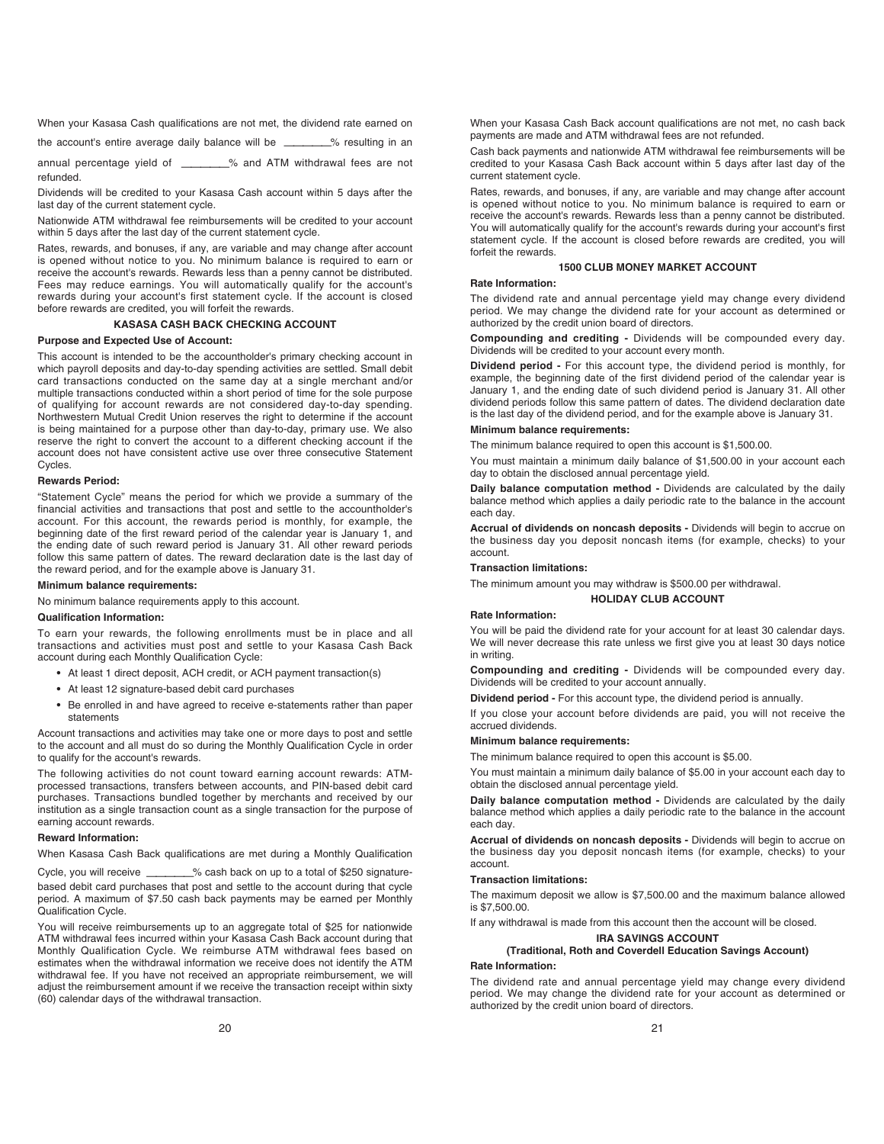When your Kasasa Cash qualifications are not met, the dividend rate earned on

the account's entire average daily balance will be \_\_\_\_\_\_\_% resulting in an

annual percentage yield of \_\_\_\_\_\_\_\_% and ATM withdrawal fees are not refunded.

Dividends will be credited to your Kasasa Cash account within 5 days after the last day of the current statement cycle.

Nationwide ATM withdrawal fee reimbursements will be credited to your account within 5 days after the last day of the current statement cycle.

Rates, rewards, and bonuses, if any, are variable and may change after account is opened without notice to you. No minimum balance is required to earn or receive the account's rewards. Rewards less than a penny cannot be distributed. Fees may reduce earnings. You will automatically qualify for the account's rewards during your account's first statement cycle. If the account is closed before rewards are credited, you will forfeit the rewards.

#### **KASASA CASH BACK CHECKING ACCOUNT**

#### **Purpose and Expected Use of Account:**

This account is intended to be the accountholder's primary checking account in which payroll deposits and day-to-day spending activities are settled. Small debit card transactions conducted on the same day at a single merchant and/or multiple transactions conducted within a short period of time for the sole purpose of qualifying for account rewards are not considered day-to-day spending. Northwestern Mutual Credit Union reserves the right to determine if the account is being maintained for a purpose other than day-to-day, primary use. We also reserve the right to convert the account to a different checking account if the account does not have consistent active use over three consecutive Statement Cycles.

#### **Rewards Period:**

"Statement Cycle" means the period for which we provide a summary of the financial activities and transactions that post and settle to the accountholder's account. For this account, the rewards period is monthly, for example, the beginning date of the first reward period of the calendar year is January 1, and the ending date of such reward period is January 31. All other reward periods follow this same pattern of dates. The reward declaration date is the last day of the reward period, and for the example above is January 31.

#### **Minimum balance requirements:**

No minimum balance requirements apply to this account.

## **Qualification Information:**

To earn your rewards, the following enrollments must be in place and all transactions and activities must post and settle to your Kasasa Cash Back account during each Monthly Qualification Cycle:

- **•** At least 1 direct deposit, ACH credit, or ACH payment transaction(s)
- **•** At least 12 signature-based debit card purchases
- **•** Be enrolled in and have agreed to receive e-statements rather than paper statements

Account transactions and activities may take one or more days to post and settle to the account and all must do so during the Monthly Qualification Cycle in order to qualify for the account's rewards.

The following activities do not count toward earning account rewards: ATMprocessed transactions, transfers between accounts, and PIN-based debit card purchases. Transactions bundled together by merchants and received by our institution as a single transaction count as a single transaction for the purpose of earning account rewards.

#### **Reward Information:**

When Kasasa Cash Back qualifications are met during a Monthly Qualification

Cycle, you will receive \_\_\_\_\_\_\_% cash back on up to a total of \$250 signaturebased debit card purchases that post and settle to the account during that cycle period. A maximum of \$7.50 cash back payments may be earned per Monthly Qualification Cycle.

You will receive reimbursements up to an aggregate total of \$25 for nationwide ATM withdrawal fees incurred within your Kasasa Cash Back account during that Monthly Qualification Cycle. We reimburse ATM withdrawal fees based on estimates when the withdrawal information we receive does not identify the ATM withdrawal fee. If you have not received an appropriate reimbursement, we will adjust the reimbursement amount if we receive the transaction receipt within sixty (60) calendar days of the withdrawal transaction.

When your Kasasa Cash Back account qualifications are not met, no cash back payments are made and ATM withdrawal fees are not refunded.

Cash back payments and nationwide ATM withdrawal fee reimbursements will be credited to your Kasasa Cash Back account within 5 days after last day of the current statement cycle.

Rates, rewards, and bonuses, if any, are variable and may change after account is opened without notice to you. No minimum balance is required to earn or receive the account's rewards. Rewards less than a penny cannot be distributed. You will automatically qualify for the account's rewards during your account's first statement cycle. If the account is closed before rewards are credited, you will forfeit the rewards.

#### **1500 CLUB MONEY MARKET ACCOUNT**

## **Rate Information:**

The dividend rate and annual percentage yield may change every dividend period. We may change the dividend rate for your account as determined or authorized by the credit union board of directors.

**Compounding and crediting -** Dividends will be compounded every day. Dividends will be credited to your account every month.

**Dividend period -** For this account type, the dividend period is monthly, for example, the beginning date of the first dividend period of the calendar year is January 1, and the ending date of such dividend period is January 31. All other dividend periods follow this same pattern of dates. The dividend declaration date is the last day of the dividend period, and for the example above is January 31.

# **Minimum balance requirements:**

The minimum balance required to open this account is \$1,500.00.

You must maintain a minimum daily balance of \$1,500.00 in your account each day to obtain the disclosed annual percentage yield.

**Daily balance computation method -** Dividends are calculated by the daily balance method which applies a daily periodic rate to the balance in the account each day.

**Accrual of dividends on noncash deposits -** Dividends will begin to accrue on the business day you deposit noncash items (for example, checks) to your account.

#### **Transaction limitations:**

The minimum amount you may withdraw is \$500.00 per withdrawal.

#### **HOLIDAY CLUB ACCOUNT**

#### **Rate Information:**

You will be paid the dividend rate for your account for at least 30 calendar days. We will never decrease this rate unless we first give you at least 30 days notice in writing.

**Compounding and crediting -** Dividends will be compounded every day. Dividends will be credited to your account annually.

**Dividend period -** For this account type, the dividend period is annually.

If you close your account before dividends are paid, you will not receive the accrued dividends.

### **Minimum balance requirements:**

The minimum balance required to open this account is \$5.00.

You must maintain a minimum daily balance of \$5.00 in your account each day to obtain the disclosed annual percentage yield.

**Daily balance computation method -** Dividends are calculated by the daily balance method which applies a daily periodic rate to the balance in the account each day.

**Accrual of dividends on noncash deposits -** Dividends will begin to accrue on the business day you deposit noncash items (for example, checks) to your account.

# **Transaction limitations:**

The maximum deposit we allow is \$7,500.00 and the maximum balance allowed is \$7,500.00.

If any withdrawal is made from this account then the account will be closed.

# **IRA SAVINGS ACCOUNT**

#### **(Traditional, Roth and Coverdell Education Savings Account) Rate Information:**

The dividend rate and annual percentage yield may change every dividend period. We may change the dividend rate for your account as determined or authorized by the credit union board of directors.